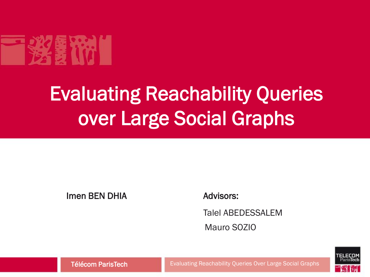

# Evaluating Reachability Queries over Large Social Graphs

#### Imen BEN DHIA

Advisors:

Talel ABEDESSALEM Mauro SOZIO



Télécom ParisTech **Exaluating Reachability Queries Over Large Social Graphs**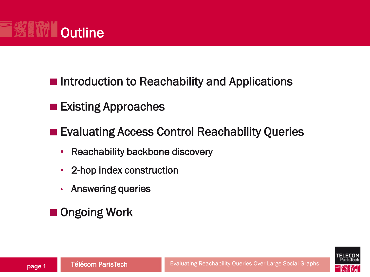

**Existing Approaches** 

**Exaluating Access Control Reachability Queries** 

- Reachability backbone discovery
- 2-hop index construction
- Answering queries
- Ongoing Work

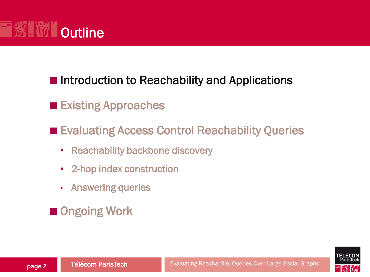

#### **Existing Approaches**

**Evaluating Access Control Reachability Queries** 

- Reachability backbone discovery
- 2-hop index construction
- Answering queries
- Ongoing Work

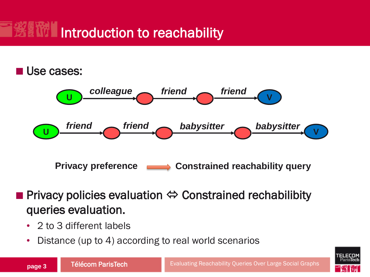# Introduction to reachability

#### Use cases:



- Privacy policies evaluation  $\Leftrightarrow$  Constrained rechabilibity queries evaluation.
	- 2 to 3 different labels
	- Distance (up to 4) according to real world scenarios

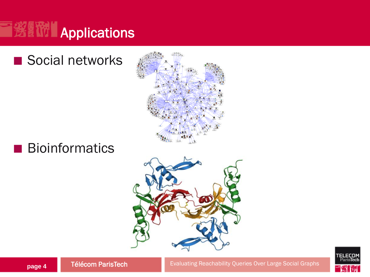

### Social networks







Télécom ParisTech **page 4**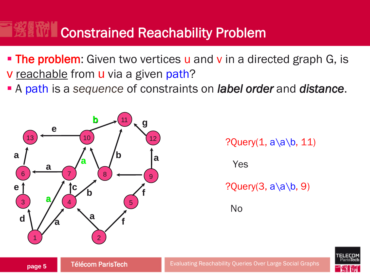## Constrained Reachability Problem

- **The problem:** Given two vertices u and v in a directed graph G, is **v** reachable from **u** via a given path?
- A path is a *sequence* of constraints on *label order* and *distance*.



?Query $(1, a\a\b)$ , 11)

Yes

?Query $(3, a\a\b, 9)$ 

No

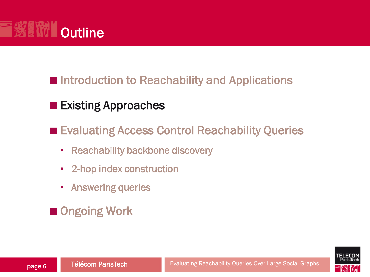

#### ■ Existing Approaches

**Exaluating Access Control Reachability Queries** 

- Reachability backbone discovery
- 2-hop index construction
- Answering queries
- Ongoing Work

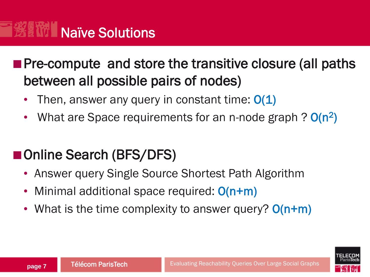# **Naïve Solutions**

**Pre-compute and store the transitive closure (all paths)** between all possible pairs of nodes)

- Then, answer any query in constant time:  $O(1)$
- What are Space requirements for an n-node graph ? O(n<sup>2</sup>)

### ■Online Search (BFS/DFS)

- Answer query Single Source Shortest Path Algorithm
- Minimal additional space required:  $O(n+m)$
- What is the time complexity to answer query? O(n+m)

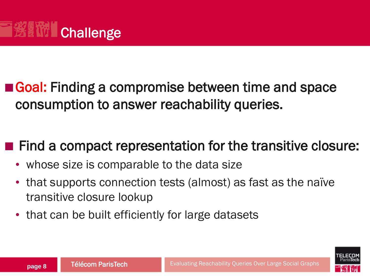

■ Goal: Finding a compromise between time and space consumption to answer reachability queries.

### ■ Find a compact representation for the transitive closure:

- whose size is comparable to the data size
- that supports connection tests (almost) as fast as the naïve transitive closure lookup
- that can be built efficiently for large datasets

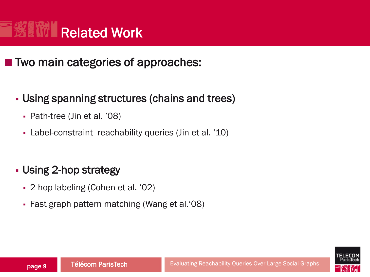#### Related Work **B WI**

■ Two main categories of approaches:

#### Using spanning structures (chains and trees)

- Path-tree (Jin et al. '08)
- Label-constraint reachability queries (Jin et al. '10)

#### Using 2-hop strategy

- 2-hop labeling (Cohen et al. '02)
- Fast graph pattern matching (Wang et al.'08)

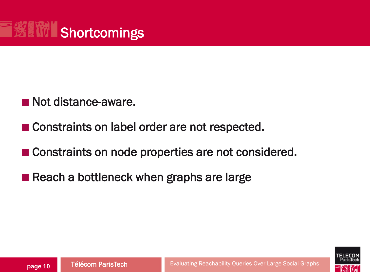

- Not distance-aware.
- **Constraints on label order are not respected.**
- Constraints on node properties are not considered.
- Reach a bottleneck when graphs are large

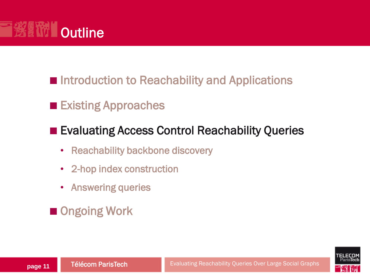

#### **Existing Approaches**

#### **Evaluating Access Control Reachability Queries**

- Reachability backbone discovery
- 2-hop index construction
- Answering queries
- Ongoing Work

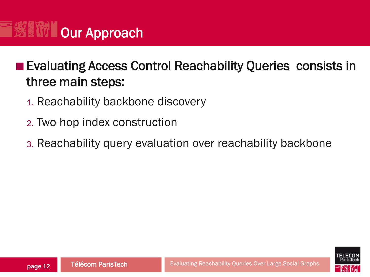

### **Exaluating Access Control Reachability Queries consists in** three main steps:

- 1. Reachability backbone discovery
- 2. Two-hop index construction
- 3. Reachability query evaluation over reachability backbone

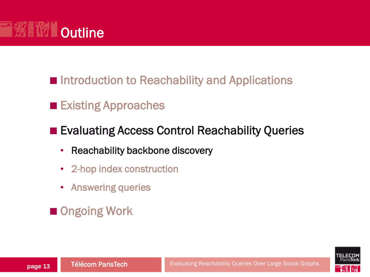

- Introduction to Reachability and Applications
- **Existing Approaches**
- **Evaluating Access Control Reachability Queries** 
	- Reachability backbone discovery
	- 2-hop index construction
	- Answering queries
- Ongoing Work

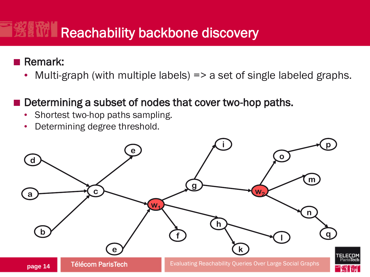## Reachability backbone discovery

#### Remark:

• Multi-graph (with multiple labels) => a set of single labeled graphs.

#### Determining a subset of nodes that cover two-hop paths.

- Shortest two-hop paths sampling.
- Determining degree threshold.

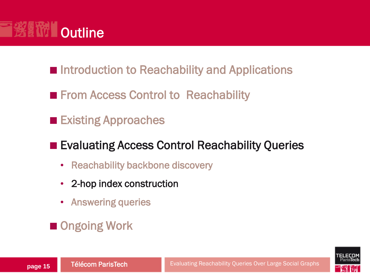

- Introduction to Reachability and Applications
- **From Access Control to Reachability**
- **Existing Approaches**

#### ■ Evaluating Access Control Reachability Queries

- Reachability backbone discovery
- 2-hop index construction
- Answering queries
- Ongoing Work

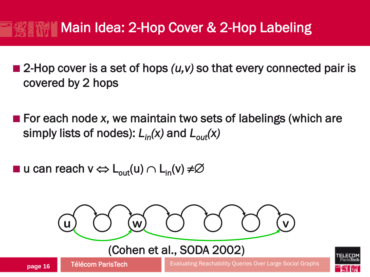### Main Idea: 2-Hop Cover & 2-Hop Labeling

- 2-Hop cover is a set of hops (*u*,*v*) so that every connected pair is covered by 2 hops
- For each node *x*, we maintain two sets of labelings (which are simply lists of nodes): *Lin(x)* and *Lout(x)*
- u can reach v  $\Leftrightarrow$   $L_{out}(u) \cap L_{in}(v) \neq \emptyset$



#### (Cohen et al., SODA 2002)

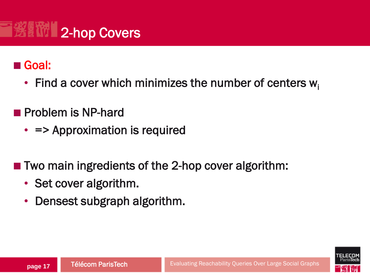

#### Goal:

- Find a cover which minimizes the number of centers  $w_i$
- **Problem is NP-hard** 
	- = > Approximation is required
- Two main ingredients of the 2-hop cover algorithm:
	- Set cover algorithm.
	- Densest subgraph algorithm.

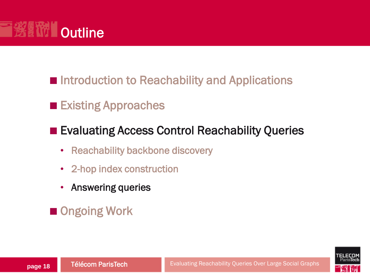

#### **Existing Approaches**

#### **Evaluating Access Control Reachability Queries**

- Reachability backbone discovery
- 2-hop index construction
- Answering queries



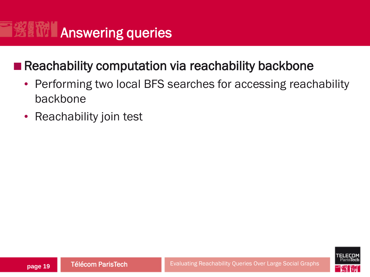# **<b>ENTI Answering queries**

#### Reachability computation via reachability backbone

- Performing two local BFS searches for accessing reachability backbone
- Reachability join test

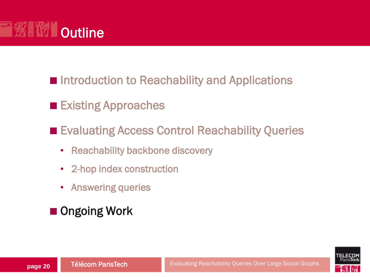

- Introduction to Reachability and Applications
- **Existing Approaches**
- Evaluating Access Control Reachability Queries
	- Reachability backbone discovery
	- 2-hop index construction
	- Answering queries
- Ongoing Work

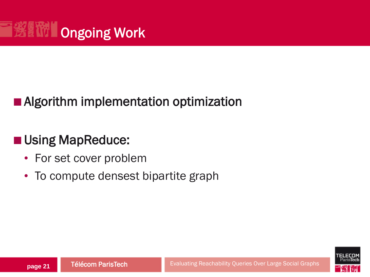

#### **Algorithm implementation optimization**

### **Using MapReduce:**

- For set cover problem
- To compute densest bipartite graph